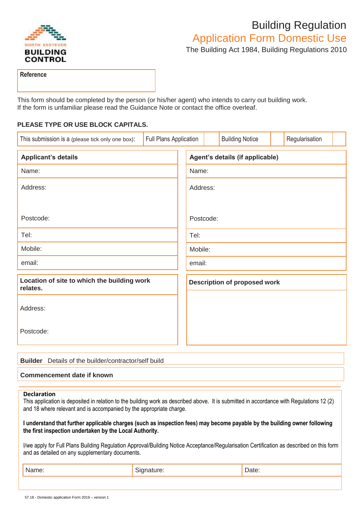

## Building Regulation

Application Form Domestic Use

The Building Act 1984, Building Regulations 2010

**Reference**

This form should be completed by the person (or his/her agent) who intends to carry out building work. If the form is unfamiliar please read the Guidance Note or contact the office overleaf.

## **PLEASE TYPE OR USE BLOCK CAPITALS.**

| This submission is a (please tick only one box):        | Full Plans Application |                                     |  | <b>Building Notice</b> |  | Regularisation |  |  |
|---------------------------------------------------------|------------------------|-------------------------------------|--|------------------------|--|----------------|--|--|
| <b>Applicant's details</b>                              |                        | Agent's details (if applicable)     |  |                        |  |                |  |  |
| Name:                                                   |                        | Name:                               |  |                        |  |                |  |  |
| Address:                                                |                        | Address:                            |  |                        |  |                |  |  |
|                                                         |                        |                                     |  |                        |  |                |  |  |
| Postcode:                                               |                        | Postcode:                           |  |                        |  |                |  |  |
| Tel:                                                    |                        | Tel:                                |  |                        |  |                |  |  |
| Mobile:                                                 |                        | Mobile:                             |  |                        |  |                |  |  |
| email:                                                  |                        | email:                              |  |                        |  |                |  |  |
| Location of site to which the building work<br>relates. |                        | <b>Description of proposed work</b> |  |                        |  |                |  |  |
| Address:                                                |                        |                                     |  |                        |  |                |  |  |
| Postcode:                                               |                        |                                     |  |                        |  |                |  |  |

| <b>Builder</b> Details of the builder/contractor/self build |
|-------------------------------------------------------------|
| Commencement date if known                                  |

## **Declaration**

This application is deposited in relation to the building work as described above. It is submitted in accordance with Regulations 12 (2) and 18 where relevant and is accompanied by the appropriate charge.

**I understand that further applicable charges (such as inspection fees) may become payable by the building owner following the first inspection undertaken by the Local Authority.**

I/we apply for Full Plans Building Regulation Approval/Building Notice Acceptance/Regularisation Certification as described on this form and as detailed on any supplementary documents.

| <i>r</i> iame. | . .<br>ate.<br>$   -$ |
|----------------|-----------------------|
|                |                       |